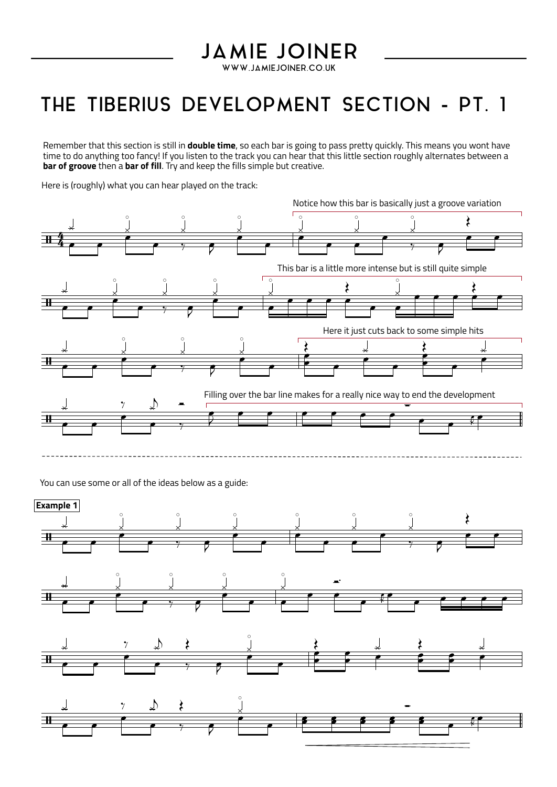## **JAMIE JOINER**

WWW.JAMIEJOINER.CO.UK

## THE TIBERIUS DEVELOPMENT SECTION - PT. 1

Remember that this section is stillin **double time**, so each bar is going to pass pretty quickly. This means you wont have time to do anything too fancy! If you listen to the track you can hear that this little section roughly alternates between a **bar of groove** then a **bar of fill**. Try and keep the fills simple but creative.

Here is (roughly) what you can hear played on the track:



You can use some or all of the ideas below as a guide: